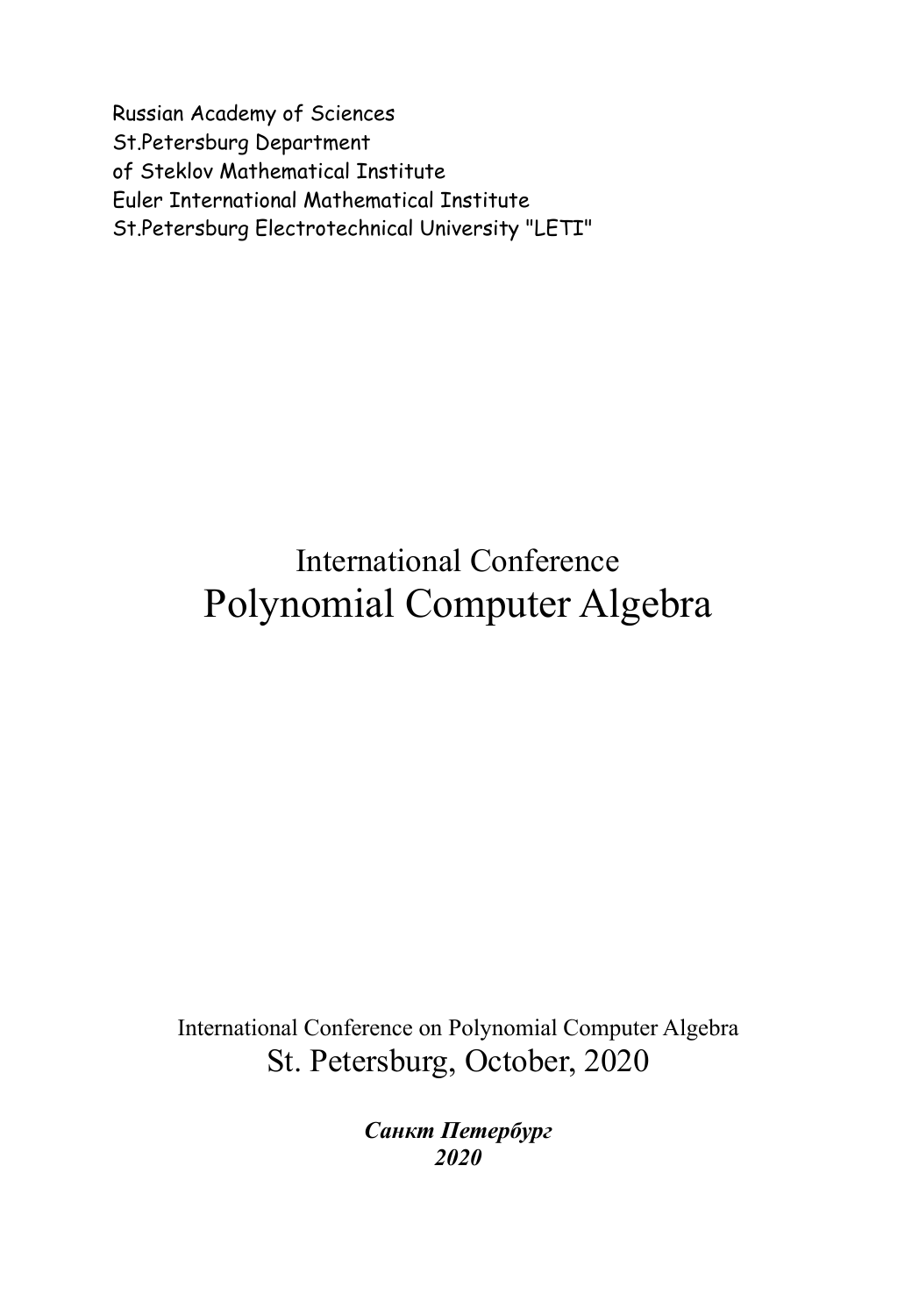Russian Academy of Sciences St.Petersburg Department of Steklov Mathematical Institute Euler International Mathematical Institute St.Petersburg Electrotechnical University "LETI"

## International Conference Polynomial Computer Algebra

International Conference on Polynomial Computer Algebra St. Petersburg, October, 2020

> *Санкт Петербург 2020*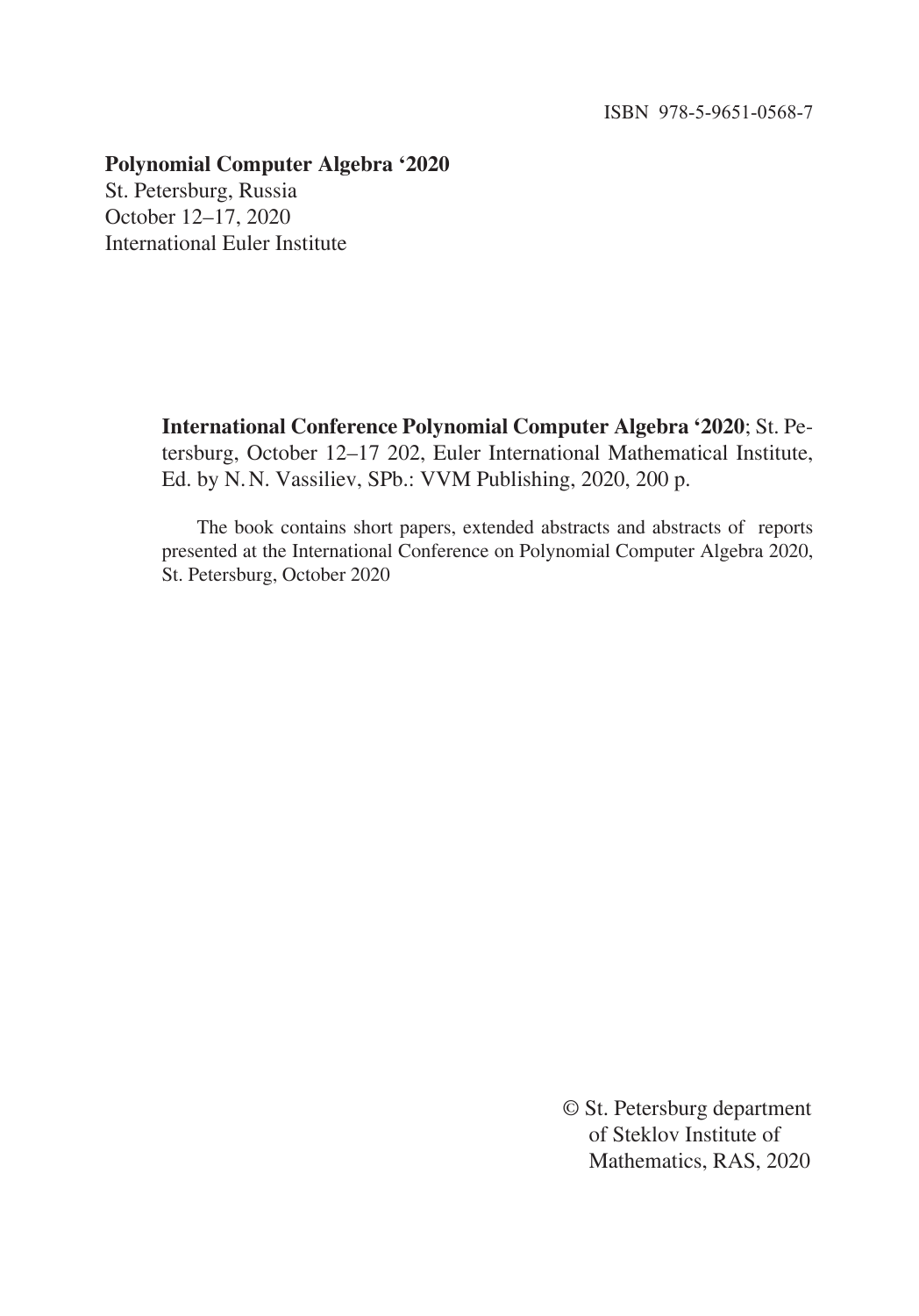## **Polynomial Computer Algebra '2020**

St. Petersburg, Russia October 12–17, 2020 International Euler Institute

> **International Conference Polynomial Computer Algebra '2020**; St. Petersburg, October 12–17 202, Euler International Mathematical Institute, Ed. by N.N. Vassiliev, SPb.: VVM Publishing, 2020, 200 p.

> The book contains short papers, extended abstracts and abstracts of reports presented at the International Conference on Polynomial Computer Algebra 2020, St. Petersburg, October 2020

> > © St. Petersburg department of Steklov Institute of Mathematics, RAS, 2020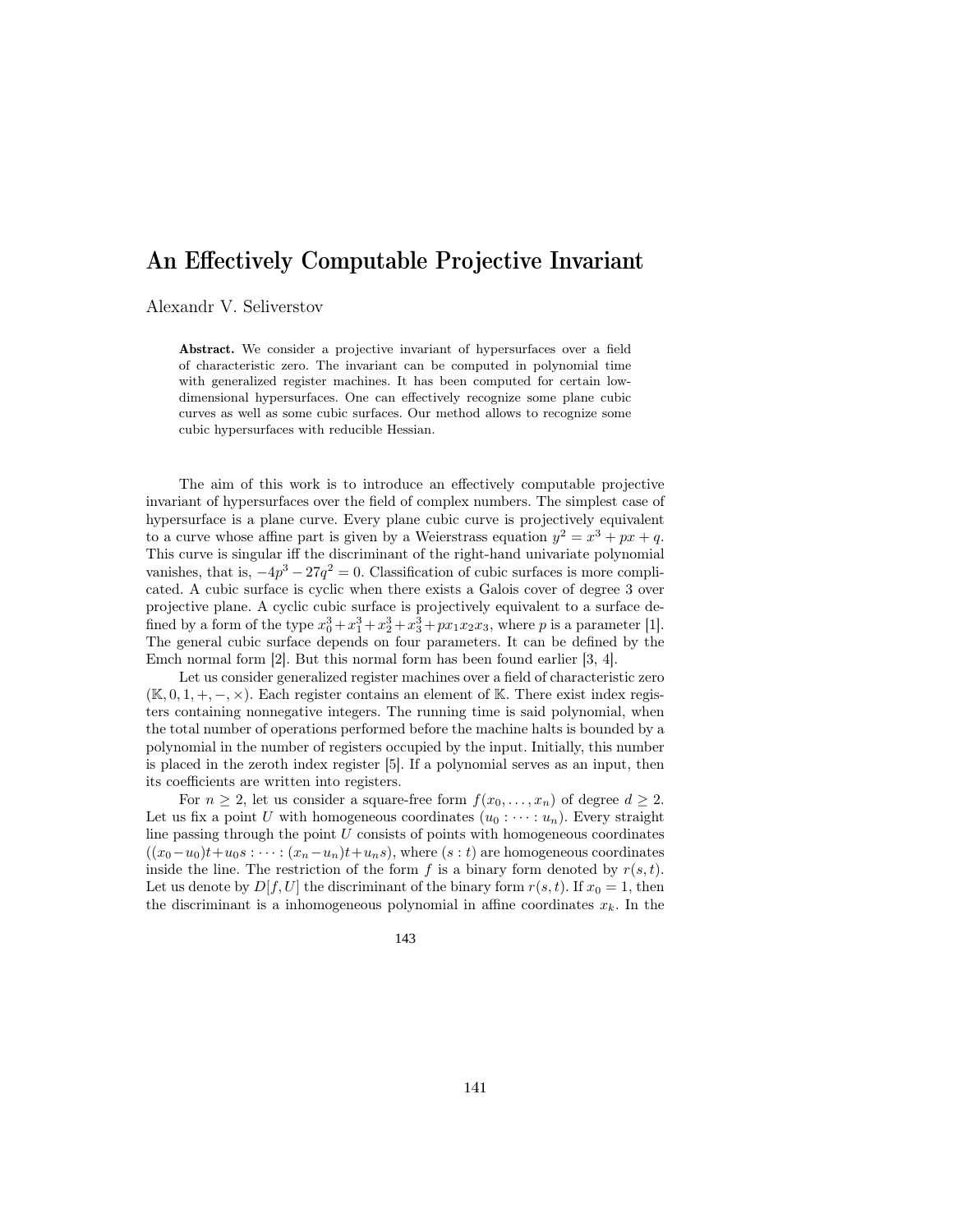## An Effectively Computable Projective Invariant

Alexandr V. Seliverstov

Abstract. We consider a projective invariant of hypersurfaces over a field of characteristic zero. The invariant can be computed in polynomial time with generalized register machines. It has been computed for certain lowdimensional hypersurfaces. One can effectively recognize some plane cubic curves as well as some cubic surfaces. Our method allows to recognize some cubic hypersurfaces with reducible Hessian.

The aim of this work is to introduce an effectively computable projective invariant of hypersurfaces over the field of complex numbers. The simplest case of hypersurface is a plane curve. Every plane cubic curve is projectively equivalent to a curve whose affine part is given by a Weierstrass equation  $y^2 = x^3 + px + q$ . This curve is singular iff the discriminant of the right-hand univariate polynomial vanishes, that is,  $-4p^3 - 27q^2 = 0$ . Classification of cubic surfaces is more complicated. A cubic surface is cyclic when there exists a Galois cover of degree 3 over projective plane. A cyclic cubic surface is projectively equivalent to a surface defined by a form of the type  $x_0^3 + x_1^3 + x_2^3 + x_3^3 + px_1x_2x_3$ , where p is a parameter [1]. The general cubic surface depends on four parameters. It can be defined by the Emch normal form [2]. But this normal form has been found earlier [3, 4].

Let us consider generalized register machines over a field of characteristic zero  $(K, 0, 1, +, -, \times)$ . Each register contains an element of K. There exist index registers containing nonnegative integers. The running time is said polynomial, when the total number of operations performed before the machine halts is bounded by a polynomial in the number of registers occupied by the input. Initially, this number is placed in the zeroth index register [5]. If a polynomial serves as an input, then its coefficients are written into registers.

For  $n \geq 2$ , let us consider a square-free form  $f(x_0, \ldots, x_n)$  of degree  $d \geq 2$ . Let us fix a point U with homogeneous coordinates  $(u_0 : \cdots : u_n)$ . Every straight line passing through the point  $U$  consists of points with homogeneous coordinates  $((x_0-u_0)t+u_0s:\cdots:(x_n-u_n)t+u_ns),$  where  $(s:t)$  are homogeneous coordinates inside the line. The restriction of the form f is a binary form denoted by  $r(s,t)$ . Let us denote by  $D[f, U]$  the discriminant of the binary form  $r(s, t)$ . If  $x_0 = 1$ , then the discriminant is a inhomogeneous polynomial in affine coordinates  $x_k$ . In the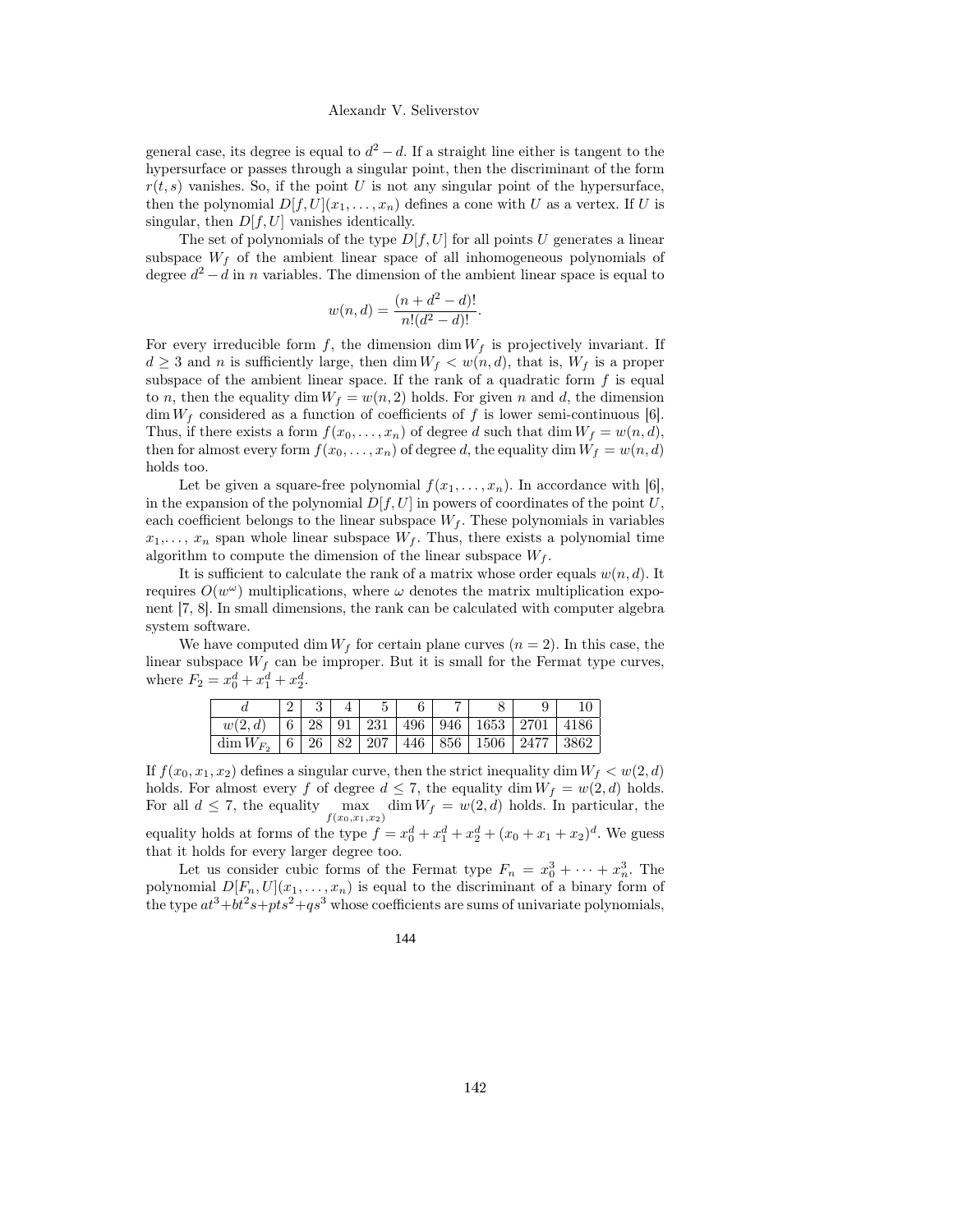general case, its degree is equal to  $d^2 - d$ . If a straight line either is tangent to the hypersurface or passes through a singular point, then the discriminant of the form  $r(t, s)$  vanishes. So, if the point U is not any singular point of the hypersurface, then the polynomial  $D[f, U](x_1, \ldots, x_n)$  defines a cone with U as a vertex. If U is singular, then  $D[f, U]$  vanishes identically.

The set of polynomials of the type  $D[f, U]$  for all points U generates a linear subspace  $W_f$  of the ambient linear space of all inhomogeneous polynomials of degree  $d^2 - d$  in n variables. The dimension of the ambient linear space is equal to

$$
w(n,d) = \frac{(n+d^2-d)!}{n!(d^2-d)!}.
$$

For every irreducible form f, the dimension dim  $W_f$  is projectively invariant. If  $d \geq 3$  and n is sufficiently large, then dim  $W_f \langle w(n, d)$ , that is,  $W_f$  is a proper subspace of the ambient linear space. If the rank of a quadratic form  $f$  is equal to n, then the equality dim  $W_f = w(n, 2)$  holds. For given n and d, the dimension  $\dim W_f$  considered as a function of coefficients of f is lower semi-continuous [6]. Thus, if there exists a form  $f(x_0, \ldots, x_n)$  of degree d such that dim  $W_f = w(n, d)$ , then for almost every form  $f(x_0, \ldots, x_n)$  of degree d, the equality dim  $W_f = w(n, d)$ holds too.

Let be given a square-free polynomial  $f(x_1, \ldots, x_n)$ . In accordance with [6], in the expansion of the polynomial  $D[f, U]$  in powers of coordinates of the point U, each coefficient belongs to the linear subspace  $W_f$ . These polynomials in variables  $x_1, \ldots, x_n$  span whole linear subspace  $W_f$ . Thus, there exists a polynomial time algorithm to compute the dimension of the linear subspace  $W_f$ .

It is sufficient to calculate the rank of a matrix whose order equals  $w(n, d)$ . It requires  $O(w^{\omega})$  multiplications, where  $\omega$  denotes the matrix multiplication exponent [7, 8]. In small dimensions, the rank can be calculated with computer algebra system software.

We have computed dim  $W_f$  for certain plane curves  $(n = 2)$ . In this case, the linear subspace  $W_f$  can be improper. But it is small for the Fermat type curves, where  $F_2 = x_0^d + x_1^d + x_2^d$ .

|                | 2 |  |  |                                                    |      |
|----------------|---|--|--|----------------------------------------------------|------|
| w(2,d)         |   |  |  | $6   28   91   231   496   946   1653   2701$      | 4186 |
| $\dim W_{F_2}$ |   |  |  | 6   26   82   207   446   856   1506   2477   3862 |      |

If  $f(x_0, x_1, x_2)$  defines a singular curve, then the strict inequality dim  $W_f < w(2, d)$ holds. For almost every f of degree  $d \leq 7$ , the equality dim  $W_f = w(2, d)$  holds. For all  $d \leq 7$ , the equality  $\max$ <br> $f(x_0,x_1,x_2)$  $\dim W_f = w(2, d)$  holds. In particular, the equality holds at forms of the type  $f = x_0^d + x_1^d + x_2^d + (x_0 + x_1 + x_2)^d$ . We guess that it holds for every larger degree too.

Let us consider cubic forms of the Fermat type  $F_n = x_0^3 + \cdots + x_n^3$ . The polynomial  $D[F_n, U](x_1, \ldots, x_n)$  is equal to the discriminant of a binary form of the type  $at^3+bt^2s+pts^2+qs^3$  whose coefficients are sums of univariate polynomials,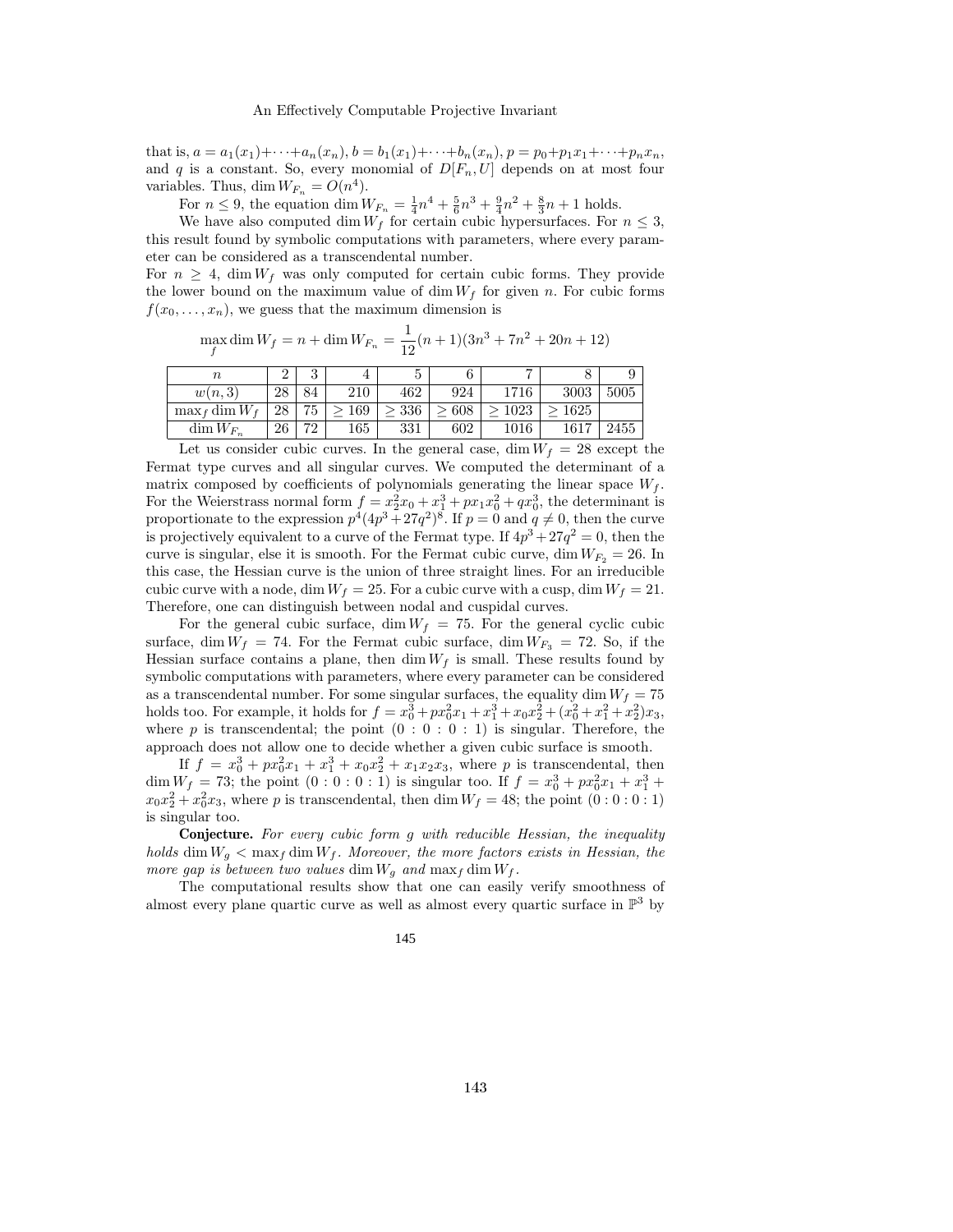that is,  $a = a_1(x_1) + \cdots + a_n(x_n)$ ,  $b = b_1(x_1) + \cdots + b_n(x_n)$ ,  $p = p_0 + p_1x_1 + \cdots + p_nx_n$ , and q is a constant. So, every monomial of  $D[F_n, U]$  depends on at most four variables. Thus, dim  $W_{F_n} = O(n^4)$ .

For  $n \leq 9$ , the equation  $\dim W_{F_n} = \frac{1}{4}n^4 + \frac{5}{6}n^3 + \frac{9}{4}n^2 + \frac{8}{3}n + 1$  holds.

We have also computed dim  $W_f$  for certain cubic hypersurfaces. For  $n \leq 3$ , this result found by symbolic computations with parameters, where every parameter can be considered as a transcendental number.

For  $n > 4$ , dim  $W_f$  was only computed for certain cubic forms. They provide the lower bound on the maximum value of dim  $W_f$  for given n. For cubic forms  $f(x_0, \ldots, x_n)$ , we guess that the maximum dimension is

| $\max_{f} \dim W_f = n + \dim W_{F_n} = \frac{1}{12}(n+1)(3n^3 + 7n^2 + 20n + 12)$ |  |
|------------------------------------------------------------------------------------|--|
|------------------------------------------------------------------------------------|--|

| $\, n$           | $\Omega$<br>↩ | $\Omega$<br>υ |     |     |     | -        |      |  |
|------------------|---------------|---------------|-----|-----|-----|----------|------|--|
| w(n,3)           | 28            | 84            | 210 | 462 | 924 | 1716     | 3003 |  |
| $\max_{f}$ dim W | 28            | 75            | 169 | 336 | 608 | 1023     | 1625 |  |
| $\dim W_{F_n}$   | 26            | 70            | 165 | 331 | 602 | $1016\,$ | 1617 |  |

Let us consider cubic curves. In the general case, dim  $W_f = 28$  except the Fermat type curves and all singular curves. We computed the determinant of a matrix composed by coefficients of polynomials generating the linear space  $W_f$ . For the Weierstrass normal form  $f = x_2^2x_0 + x_1^3 + px_1x_0^2 + qx_0^3$ , the determinant is proportionate to the expression  $p^4(4p^3+27q^2)^8$ . If  $p=0$  and  $q\neq 0$ , then the curve is projectively equivalent to a curve of the Fermat type. If  $4p^3 + 27q^2 = 0$ , then the curve is singular, else it is smooth. For the Fermat cubic curve, dim  $W_{F_2} = 26$ . In this case, the Hessian curve is the union of three straight lines. For an irreducible cubic curve with a node, dim  $W_f = 25$ . For a cubic curve with a cusp, dim  $W_f = 21$ . Therefore, one can distinguish between nodal and cuspidal curves.

For the general cubic surface, dim  $W_f = 75$ . For the general cyclic cubic surface, dim  $W_f = 74$ . For the Fermat cubic surface, dim  $W_{F_3} = 72$ . So, if the Hessian surface contains a plane, then  $\dim W_f$  is small. These results found by symbolic computations with parameters, where every parameter can be considered as a transcendental number. For some singular surfaces, the equality dim  $W_f = 75$ holds too. For example, it holds for  $f = x_0^3 + px_0^2x_1 + x_1^3 + x_0x_2^2 + (x_0^2 + x_1^2 + x_2^2)x_3$ , where p is transcendental; the point  $(0:0:0:1)$  is singular. Therefore, the approach does not allow one to decide whether a given cubic surface is smooth.

If  $f = x_0^3 + px_0^2x_1 + x_1^3 + x_0x_2^2 + x_1x_2x_3$ , where p is transcendental, then dim  $W_f = 73$ ; the point  $(0:0:0:1)$  is singular too. If  $f = x_0^3 + px_0^2x_1 + x_1^3 +$  $x_0x_2^2 + x_0^2x_3$ , where p is transcendental, then dim  $W_f = 48$ ; the point  $(0:0:0:1)$ is singular too.

Conjecture. For every cubic form g with reducible Hessian, the inequality holds dim  $W_g < \max_f \dim W_f$ . Moreover, the more factors exists in Hessian, the more gap is between two values dim  $W_g$  and  $\max_f$  dim  $W_f$ .

The computational results show that one can easily verify smoothness of almost every plane quartic curve as well as almost every quartic surface in  $\mathbb{P}^3$  by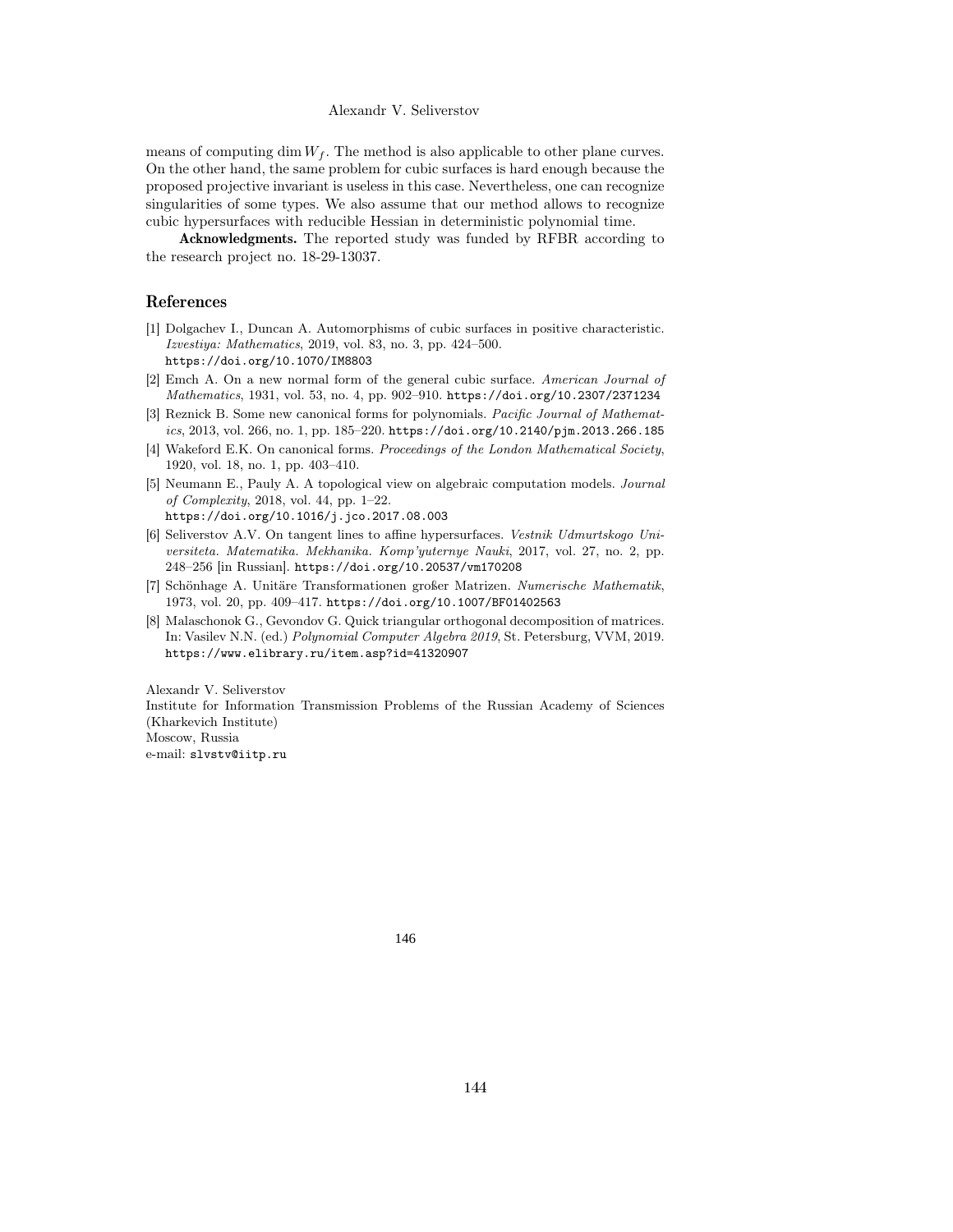means of computing dim  $W_f$ . The method is also applicable to other plane curves. On the other hand, the same problem for cubic surfaces is hard enough because the proposed projective invariant is useless in this case. Nevertheless, one can recognize singularities of some types. We also assume that our method allows to recognize cubic hypersurfaces with reducible Hessian in deterministic polynomial time.

Acknowledgments. The reported study was funded by RFBR according to the research project no. 18-29-13037.

## References

- [1] Dolgachev I., Duncan A. Automorphisms of cubic surfaces in positive characteristic. Izvestiya: Mathematics, 2019, vol. 83, no. 3, pp. 424–500. https://doi.org/10.1070/IM8803
- [2] Emch A. On a new normal form of the general cubic surface. American Journal of Mathematics, 1931, vol. 53, no. 4, pp. 902–910. https://doi.org/10.2307/2371234
- [3] Reznick B. Some new canonical forms for polynomials. Pacific Journal of Mathematics, 2013, vol. 266, no. 1, pp. 185–220. https://doi.org/10.2140/pjm.2013.266.185
- [4] Wakeford E.K. On canonical forms. Proceedings of the London Mathematical Society, 1920, vol. 18, no. 1, pp. 403–410.
- [5] Neumann E., Pauly A. A topological view on algebraic computation models. Journal of Complexity, 2018, vol. 44, pp. 1–22. https://doi.org/10.1016/j.jco.2017.08.003
- [6] Seliverstov A.V. On tangent lines to affine hypersurfaces. Vestnik Udmurtskogo Universiteta. Matematika. Mekhanika. Komp'yuternye Nauki, 2017, vol. 27, no. 2, pp. 248–256 [in Russian]. https://doi.org/10.20537/vm170208
- [7] Schönhage A. Unitäre Transformationen großer Matrizen. Numerische Mathematik, 1973, vol. 20, pp. 409–417. https://doi.org/10.1007/BF01402563
- [8] Malaschonok G., Gevondov G. Quick triangular orthogonal decomposition of matrices. In: Vasilev N.N. (ed.) Polynomial Computer Algebra 2019, St. Petersburg, VVM, 2019. https://www.elibrary.ru/item.asp?id=41320907

Alexandr V. Seliverstov

Institute for Information Transmission Problems of the Russian Academy of Sciences (Kharkevich Institute)

Moscow, Russia

e-mail: slvstv@iitp.ru